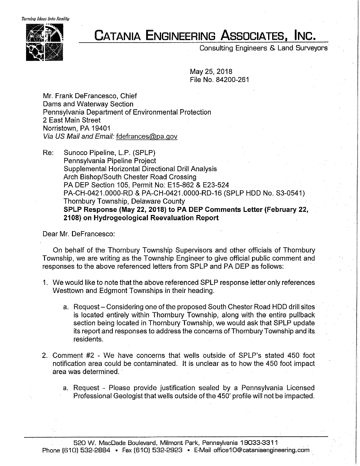*'fuming Ideas Into Reality* 



## **CATANIA ENGINEERING ASSOCIATES, INC.**

Consulting Engineers & Land Surveyors

May 25, 2018 File No. 84200-261

Mr. Frank Defrancesco, Chief Dams and Waterway Section Pennsylvania Department of Environmental Protection 2 East Main Street Norristown, PA 19401 Via US Mail and Email: fdefrances@pa.gov

Re: Sunoco Pipeline, L.P. (SPLP) Pennsylvania Pipeline Project Supplemental Horizontal Directional Drill Analysis Arch Bishop/South Chester Road Crossing PA DEP Section 105, Permit No: E15-862 & E23-524 PA-CH-0421.0000-RD & PA-CH-0421.0000-RD-16 (SPLP HOD No. S3-0541) Thornbury Township, Delaware County **SPLP Response (May 22, 2018) to PA DEP Comments Letter (February 22, 2108) on Hydrogeological Reevaluation Report** 

Dear Mr. Defrancesco:

On behalf of the Thornbury Township Supervisors and other officials of Thornbury Township, we are writing as the Township Engineer to give official public comment and responses to the above referenced letters from SPLP and PA DEP as follows:

- 1. We would like to note that the above referenced SPLP response letter only references Westtown and Edgmont Townships in their heading.
	- a. Request Considering one of the proposed South Chester Road HDD drill sites is located entirely within Thornbury Township, along with the entire pullback section being located in Thornbury Township, we would ask that SPLP update its report and responses to address the concerns of Thornbury Township and its residents.
- 2. Comment #2 We have concerns that wells outside of SPLP's stated 450 foot notification area could be contaminated. It is unclear as to how the 450 foot impact area was determined.
	- a. Request Please provide justification sealed by a Pennsylvania Licensed Professional Geologist that wells outside of the 450' profile will not be impacted.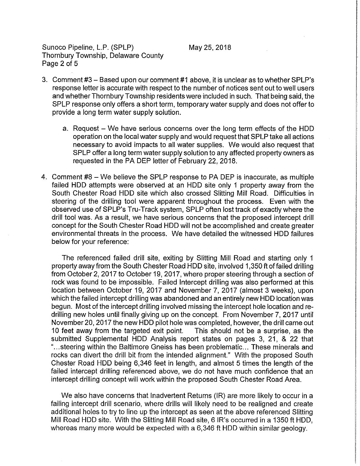Sunoco Pipeline, L.P. (SPLP) Thornbury Township, Delaware County Page 2 of 5

- 3. Comment #3 Based upon our comment #1 above, it is unclear as to whether SPLP's response letter is accurate with respect to the number of notices sent out to well users and whether Thornbury Township residents were included in such. That being said, the SPLP response only offers a short term, temporary water supply and does not offer to provide a long term water supply solution.
	- a. Request We have serious concerns over the long term effects of the HDD operation on the local water supply and would request that SPLP take all actions necessary to avoid impacts to all water supplies. We would also request that SPLP offer a long term water supply solution to any affected property owners as requested in the PA DEP letter of February 22, 2018.
- 4. Comment #8 We believe the SPLP response to PA DEP is inaccurate, as multiple failed HOD attempts were observed at an HOD site only 1 property away from the South Chester Road HOD site which also crossed Slitting Mill Road. Difficulties in steering of the drilling tool were apparent throughout the process. Even with the observed use of SPLP's Tru-Track system, SPLP often lost track of exactly where the drill tool was. As a result, we have serious concerns that the proposed intercept drill concept for the South Chester Road HOD will not be accomplished and create greater environmental threats in the process. We have detailed the witnessed HOD failures below for your reference:

The referenced failed drill site, exiting by Slitting Mill Road and starting only 1 property away from the South Chester Road HOD site, involved 1,350 ft of failed drilling from October 2, 2017 to October 19, 2017, where proper steering through a section of rock was found to be impossible. Failed Intercept drilling was also performed at this location between October 19, 2017 and November 7, 2017 {almost 3 weeks), upon which the failed intercept drilling was abandoned and an entirely new HOD location was begun. Most of the intercept drilling involved missing the intercept hole location and redrilling new holes until finally giving up on the concept. From November 7, 2017 until November 20, 2017 the new HOD pilot hole was completed, however, the drill came out 1 O feet away from the targeted exit point. This should not be a surprise, as the submitted Supplemental HOD Analysis report states on pages 3, 21, & 22 that "... steering within the Baltimore Gneiss has been problematic... These minerals and rocks can divert the drill bit from the intended alignment." With the proposed South Chester Road HOD being 6,346 feet in length, and almost 5 times the length of the failed intercept drilling referenced above, we do not have much confidence that an intercept drilling concept will work within the proposed South Chester Road Area.

We also have concerns that Inadvertent Returns (IR) are more likely to occur in a failing intercept drill scenario, where drills will likely need to be realigned and create additional holes to try to line up the intercept as seen at the above referenced Slitting Mill Road HOD site. With the Slitting Mill Road site, 6 IR's occurred in a 1350 ft HOD, whereas many more would be expected with a 6,346 ft HOD within similar geology.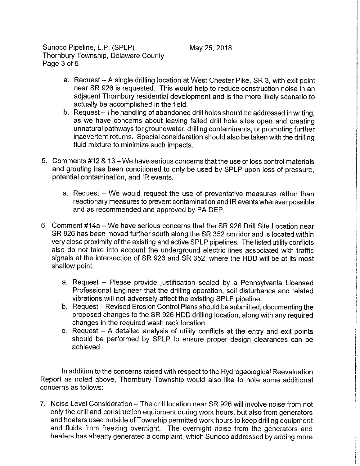Sunoco Pipeline, L.P. (SPLP) Thornbury Township, Delaware County Page 3 of 5

- a. Request A single drilling location at West Chester Pike, SR 3, with exit point near SR 926 is requested. This would help to reduce construction noise in an adjacent Thornbury residential development and is the more likely scenario to actually be accomplished in the field.
- b. Request- The handling of abandoned drill holes should be addressed in writing, as we have concerns about leaving failed drill hole sites open and creating unnatural pathways for groundwater, drilling contaminants, or promoting further inadvertent returns. Special consideration should also be taken with the drilling fluid mixture to minimize such impacts.
- 5. Comments #12 & 13 We have serious concerns that the use of loss control materials and grouting has been conditioned to only be used by SPLP upon loss of pressure, potential contamination, and IR events.
	- a. Request We would request the use of preventative measures rather than reactionary measures to prevent contamination and IR events wherever possible and as recommended and approved by PA DEP.
- 6. Comment #14a We have serious concerns that the SR 926 Drill Site Location near SR 926 has been moved further south along the SR 352 corridor and is located within very close proximity of the existing and active SPLP pipelines. The listed utility conflicts also do not take into account the underground electric lines associated with traffic signals at the intersection of SR 926 and SR 352, where the HOD will be at its most shallow point.
	- a. Request Please provide justification sealed by a Pennsylvania Licensed Professional Engineer that the drilling operation, soil disturbance and related vibrations will not adversely affect the existing SPLP pipeline.
	- b. Request-Revised Erosion Control Plans should be submitted, documenting the proposed changes to the SR 926 HOD drilling location, along with any required changes in the required wash rack location.
	- c. Request  $-$  A detailed analysis of utility conflicts at the entry and exit points should be performed by SPLP to ensure proper design clearances can be achieved.

In addition to the concerns raised with respect to the Hydrogeological Reevaluation Report as noted above, Thornbury Township would also like to note some additional concerns as follows:

7. Noise Level Consideration – The drill location near SR 926 will involve noise from not only the drill and construction equipment during work hours, but also from generators and heaters used outside of Township permitted work hours to keep drilling equipment and fluids from freezing overnight. The overnight noise from the generators and heaters has already generated a complaint, which Sunoco addressed by adding more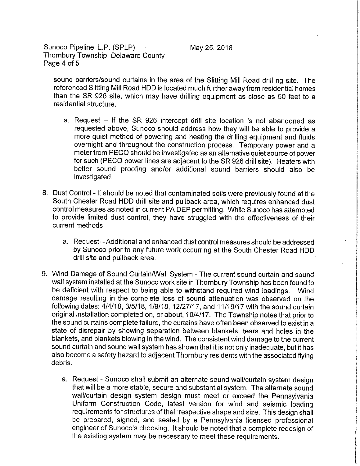Sunoco Pipeline, L.P. (SPLP) Thornbury Township, Delaware County Page 4 of 5

May 25, 2018

sound barriers/sound curtains in the area of the Slitting Mill Road drill rig site. The referenced Slitting Mill Road HOD is located much further away from residential homes than the SR 926 site, which may have drilling equipment as close as 50 feet to a residential structure.

- a. Request  $-$  If the SR 926 intercept drill site location is not abandoned as requested above, Sunoco should address how they will be able to provide a more quiet method of powering and heating the drilling equipment and fluids overnight and throughout the construction process. Temporary power and a meter from PECO should be investigated as an alternative quiet source of power for such (PECO power lines are adjacent to the SR 926 drill site). Heaters with better sound proofing and/or additional sound barriers should also be investigated.
- 8. Dust Control It should be noted that contaminated soils were previously found at the South Chester Road HDD drill site and pullback area, which requires enhanced dust control measures as noted in current PA DEP permitting. While Sunoco has attempted to provide limited dust control, they have struggled with the effectiveness of their current methods.
	- a. Request-Additional and enhanced dust control measures should be addressed by Sunoco prior to any future work occurring at the South Chester Road HOD drill site and pullback area.
- 9. Wind Damage of Sound Curtain/Wall System The current sound curtain and sound wall system installed at the Sunoco work site in Thornbury Township has been found to be deficient with respect to being able to withstand required wind loadings. Wind damage resulting in the complete loss of sound attenuation was observed on the following dates: 4/4/18, 3/5/18, 1/9/18, 12/27/17, and 11/19/17 with the sound curtain original installation completed on, or about, 10/4/17. The Township notes that prior to the sound curtains complete failure, the curtains have often been observed to exist in a state of disrepair by showing separation between blankets, tears and holes in the blankets, and blankets blowing in the wind. The consistent wind damage to the current sound curtain and sound wall system has shown that it is not only inadequate, but it has also become a safety hazard to adjacent Thornbury residents with the associated flying debris.
	- a. Request Sunoco shall submit an alternate sound wall/curtain system design that will be a more stable, secure and substantial system. The alternate sound wall/curtain design system design must meet or exceed the Pennsylvania Uniform Construction Code, latest version for wind and seismic loading requirements for structures of their respective shape and size. This design shall be prepared, signed, and sealed by a Pennsylvania licensed professional engineer of Sunoco's choosing. It should be noted that a complete redesign of the existing system may be necessary to meet these requirements.